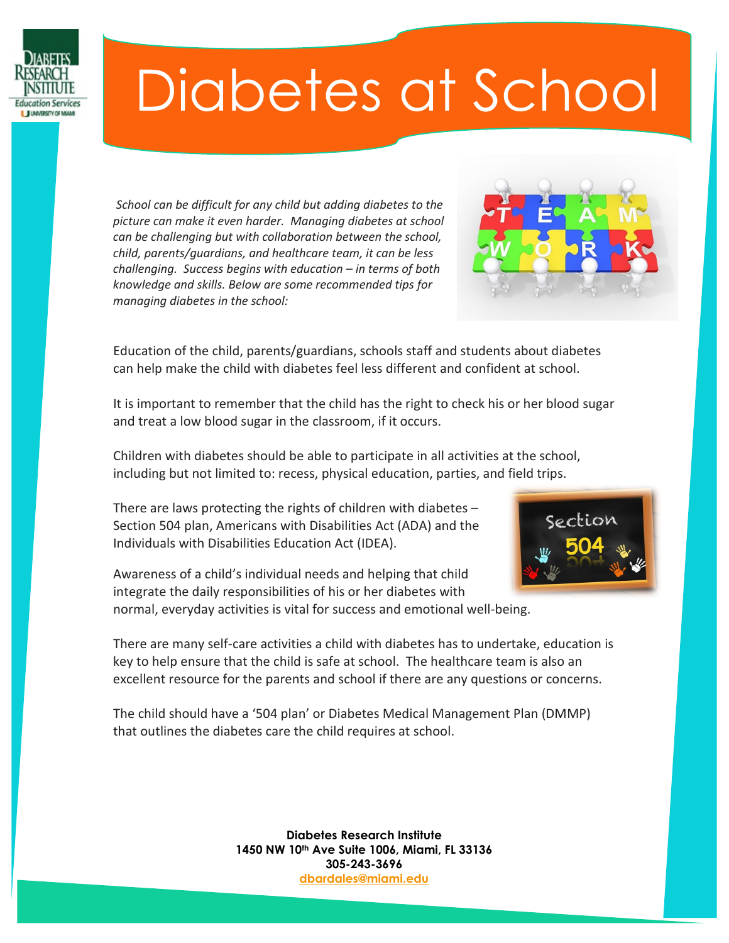

## Diabetes at School

*School can be difficult for any child but adding diabetes to the picture can make it even harder. Managing diabetes at school can be challenging but with collaboration between the school, child, parents/guardians, and healthcare team, it can be less challenging. Success begins with education – in terms of both knowledge and skills. Below are some recommended tips for managing diabetes in the school:*



Education of the child, parents/guardians, schools staff and students about diabetes can help make the child with diabetes feel less different and confident at school.

It is important to remember that the child has the right to check his or her blood sugar and treat a low blood sugar in the classroom, if it occurs.

Children with diabetes should be able to participate in all activities at the school, including but not limited to: recess, physical education, parties, and field trips.

There are laws protecting the rights of children with diabetes – Section 504 plan, Americans with Disabilities Act (ADA) and the Individuals with Disabilities Education Act (IDEA).

Awareness of a child's individual needs and helping that child integrate the daily responsibilities of his or her diabetes with normal, everyday activities is vital for success and emotional well-being.



There are many self-care activities a child with diabetes has to undertake, education is key to help ensure that the child is safe at school. The healthcare team is also an excellent resource for the parents and school if there are any questions or concerns.

The child should have a '504 plan' or Diabetes Medical Management Plan (DMMP) that outlines the diabetes care the child requires at school.

> **Diabetes Research Institute 1450 NW 10th Ave Suite 1006, Miami, FL 33136 305-243-3696 [dbardales@miami.edu](mailto:dbardales@miami.edu)**